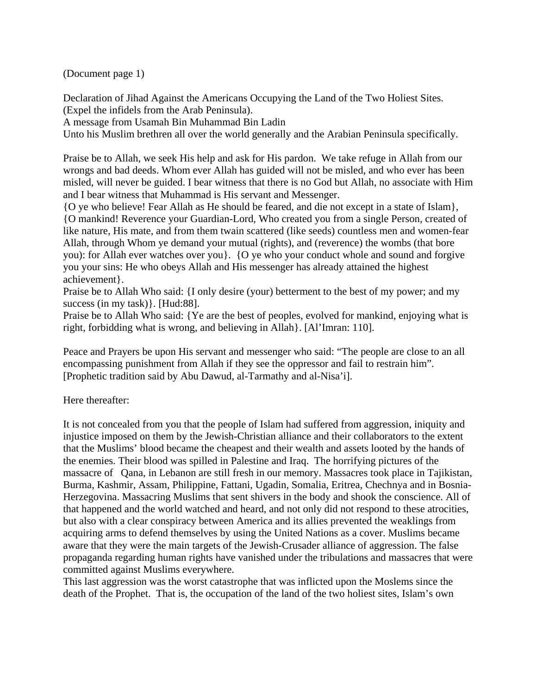(Document page 1)

Declaration of Jihad Against the Americans Occupying the Land of the Two Holiest Sites. (Expel the infidels from the Arab Peninsula).

A message from Usamah Bin Muhammad Bin Ladin

Unto his Muslim brethren all over the world generally and the Arabian Peninsula specifically.

Praise be to Allah, we seek His help and ask for His pardon. We take refuge in Allah from our wrongs and bad deeds. Whom ever Allah has guided will not be misled, and who ever has been misled, will never be guided. I bear witness that there is no God but Allah, no associate with Him and I bear witness that Muhammad is His servant and Messenger.

{O ye who believe! Fear Allah as He should be feared, and die not except in a state of Islam}, {O mankind! Reverence your Guardian-Lord, Who created you from a single Person, created of like nature, His mate, and from them twain scattered (like seeds) countless men and women-fear Allah, through Whom ye demand your mutual (rights), and (reverence) the wombs (that bore you): for Allah ever watches over you}. {O ye who your conduct whole and sound and forgive you your sins: He who obeys Allah and His messenger has already attained the highest achievement}.

Praise be to Allah Who said: {I only desire (your) betterment to the best of my power; and my success (in my task) }. [Hud:88].

Praise be to Allah Who said: {Ye are the best of peoples, evolved for mankind, enjoying what is right, forbidding what is wrong, and believing in Allah}. [Al'Imran: 110].

Peace and Prayers be upon His servant and messenger who said: "The people are close to an all encompassing punishment from Allah if they see the oppressor and fail to restrain him". [Prophetic tradition said by Abu Dawud, al-Tarmathy and al-Nisa'i].

Here thereafter:

It is not concealed from you that the people of Islam had suffered from aggression, iniquity and injustice imposed on them by the Jewish-Christian alliance and their collaborators to the extent that the Muslims' blood became the cheapest and their wealth and assets looted by the hands of the enemies. Their blood was spilled in Palestine and Iraq. The horrifying pictures of the massacre of Qana, in Lebanon are still fresh in our memory. Massacres took place in Tajikistan, Burma, Kashmir, Assam, Philippine, Fattani, Ugadin, Somalia, Eritrea, Chechnya and in Bosnia-Herzegovina. Massacring Muslims that sent shivers in the body and shook the conscience. All of that happened and the world watched and heard, and not only did not respond to these atrocities, but also with a clear conspiracy between America and its allies prevented the weaklings from acquiring arms to defend themselves by using the United Nations as a cover. Muslims became aware that they were the main targets of the Jewish-Crusader alliance of aggression. The false propaganda regarding human rights have vanished under the tribulations and massacres that were committed against Muslims everywhere.

This last aggression was the worst catastrophe that was inflicted upon the Moslems since the death of the Prophet. That is, the occupation of the land of the two holiest sites, Islam's own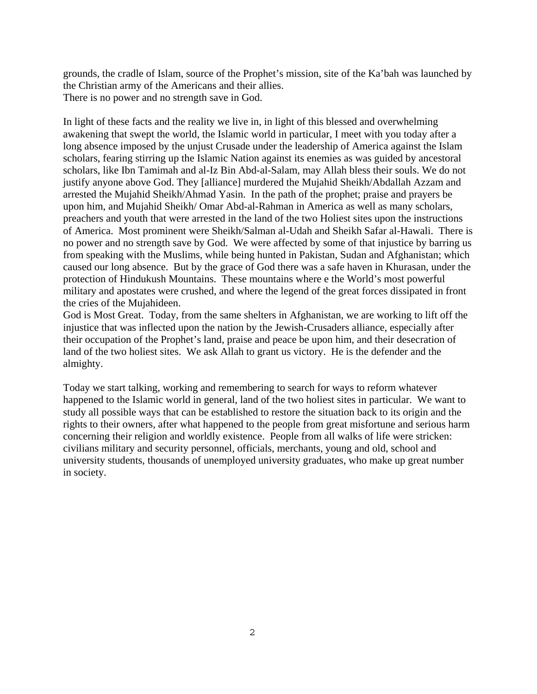grounds, the cradle of Islam, source of the Prophet's mission, site of the Ka'bah was launched by the Christian army of the Americans and their allies. There is no power and no strength save in God.

In light of these facts and the reality we live in, in light of this blessed and overwhelming awakening that swept the world, the Islamic world in particular, I meet with you today after a long absence imposed by the unjust Crusade under the leadership of America against the Islam scholars, fearing stirring up the Islamic Nation against its enemies as was guided by ancestoral scholars, like Ibn Tamimah and al-Iz Bin Abd-al-Salam, may Allah bless their souls. We do not justify anyone above God. They [alliance] murdered the Mujahid Sheikh/Abdallah Azzam and arrested the Mujahid Sheikh/Ahmad Yasin. In the path of the prophet; praise and prayers be upon him, and Mujahid Sheikh/ Omar Abd-al-Rahman in America as well as many scholars, preachers and youth that were arrested in the land of the two Holiest sites upon the instructions of America. Most prominent were Sheikh/Salman al-Udah and Sheikh Safar al-Hawali. There is no power and no strength save by God. We were affected by some of that injustice by barring us from speaking with the Muslims, while being hunted in Pakistan, Sudan and Afghanistan; which caused our long absence. But by the grace of God there was a safe haven in Khurasan, under the protection of Hindukush Mountains. These mountains where e the World's most powerful military and apostates were crushed, and where the legend of the great forces dissipated in front the cries of the Mujahideen.

God is Most Great. Today, from the same shelters in Afghanistan, we are working to lift off the injustice that was inflected upon the nation by the Jewish-Crusaders alliance, especially after their occupation of the Prophet's land, praise and peace be upon him, and their desecration of land of the two holiest sites. We ask Allah to grant us victory. He is the defender and the almighty.

Today we start talking, working and remembering to search for ways to reform whatever happened to the Islamic world in general, land of the two holiest sites in particular. We want to study all possible ways that can be established to restore the situation back to its origin and the rights to their owners, after what happened to the people from great misfortune and serious harm concerning their religion and worldly existence. People from all walks of life were stricken: civilians military and security personnel, officials, merchants, young and old, school and university students, thousands of unemployed university graduates, who make up great number in society.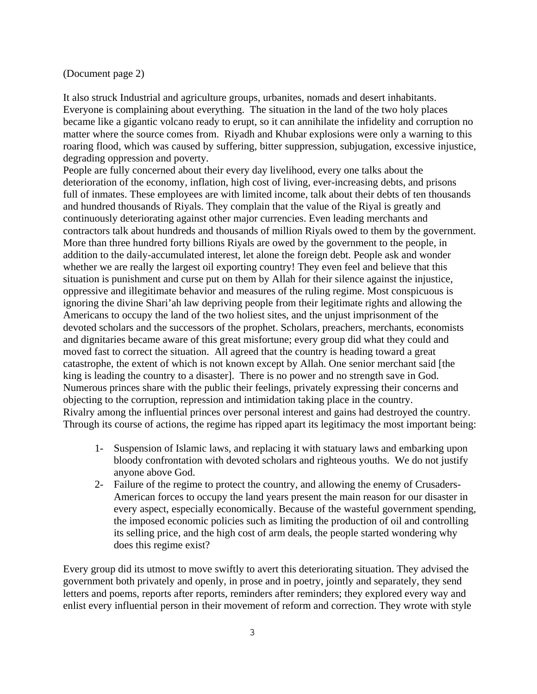## (Document page 2)

It also struck Industrial and agriculture groups, urbanites, nomads and desert inhabitants. Everyone is complaining about everything. The situation in the land of the two holy places became like a gigantic volcano ready to erupt, so it can annihilate the infidelity and corruption no matter where the source comes from. Riyadh and Khubar explosions were only a warning to this roaring flood, which was caused by suffering, bitter suppression, subjugation, excessive injustice, degrading oppression and poverty.

People are fully concerned about their every day livelihood, every one talks about the deterioration of the economy, inflation, high cost of living, ever-increasing debts, and prisons full of inmates. These employees are with limited income, talk about their debts of ten thousands and hundred thousands of Riyals. They complain that the value of the Riyal is greatly and continuously deteriorating against other major currencies. Even leading merchants and contractors talk about hundreds and thousands of million Riyals owed to them by the government. More than three hundred forty billions Riyals are owed by the government to the people, in addition to the daily-accumulated interest, let alone the foreign debt. People ask and wonder whether we are really the largest oil exporting country! They even feel and believe that this situation is punishment and curse put on them by Allah for their silence against the injustice, oppressive and illegitimate behavior and measures of the ruling regime. Most conspicuous is ignoring the divine Shari'ah law depriving people from their legitimate rights and allowing the Americans to occupy the land of the two holiest sites, and the unjust imprisonment of the devoted scholars and the successors of the prophet. Scholars, preachers, merchants, economists and dignitaries became aware of this great misfortune; every group did what they could and moved fast to correct the situation. All agreed that the country is heading toward a great catastrophe, the extent of which is not known except by Allah. One senior merchant said [the king is leading the country to a disaster]. There is no power and no strength save in God. Numerous princes share with the public their feelings, privately expressing their concerns and objecting to the corruption, repression and intimidation taking place in the country. Rivalry among the influential princes over personal interest and gains had destroyed the country. Through its course of actions, the regime has ripped apart its legitimacy the most important being:

- 1- Suspension of Islamic laws, and replacing it with statuary laws and embarking upon bloody confrontation with devoted scholars and righteous youths. We do not justify anyone above God.
- 2- Failure of the regime to protect the country, and allowing the enemy of Crusaders-American forces to occupy the land years present the main reason for our disaster in every aspect, especially economically. Because of the wasteful government spending, the imposed economic policies such as limiting the production of oil and controlling its selling price, and the high cost of arm deals, the people started wondering why does this regime exist?

Every group did its utmost to move swiftly to avert this deteriorating situation. They advised the government both privately and openly, in prose and in poetry, jointly and separately, they send letters and poems, reports after reports, reminders after reminders; they explored every way and enlist every influential person in their movement of reform and correction. They wrote with style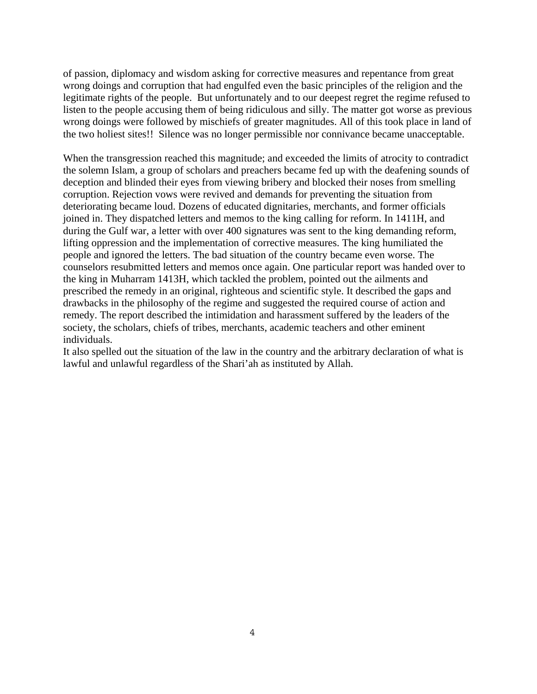of passion, diplomacy and wisdom asking for corrective measures and repentance from great wrong doings and corruption that had engulfed even the basic principles of the religion and the legitimate rights of the people. But unfortunately and to our deepest regret the regime refused to listen to the people accusing them of being ridiculous and silly. The matter got worse as previous wrong doings were followed by mischiefs of greater magnitudes. All of this took place in land of the two holiest sites!! Silence was no longer permissible nor connivance became unacceptable.

When the transgression reached this magnitude; and exceeded the limits of atrocity to contradict the solemn Islam, a group of scholars and preachers became fed up with the deafening sounds of deception and blinded their eyes from viewing bribery and blocked their noses from smelling corruption. Rejection vows were revived and demands for preventing the situation from deteriorating became loud. Dozens of educated dignitaries, merchants, and former officials joined in. They dispatched letters and memos to the king calling for reform. In 1411H, and during the Gulf war, a letter with over 400 signatures was sent to the king demanding reform, lifting oppression and the implementation of corrective measures. The king humiliated the people and ignored the letters. The bad situation of the country became even worse. The counselors resubmitted letters and memos once again. One particular report was handed over to the king in Muharram 1413H, which tackled the problem, pointed out the ailments and prescribed the remedy in an original, righteous and scientific style. It described the gaps and drawbacks in the philosophy of the regime and suggested the required course of action and remedy. The report described the intimidation and harassment suffered by the leaders of the society, the scholars, chiefs of tribes, merchants, academic teachers and other eminent individuals.

It also spelled out the situation of the law in the country and the arbitrary declaration of what is lawful and unlawful regardless of the Shari'ah as instituted by Allah.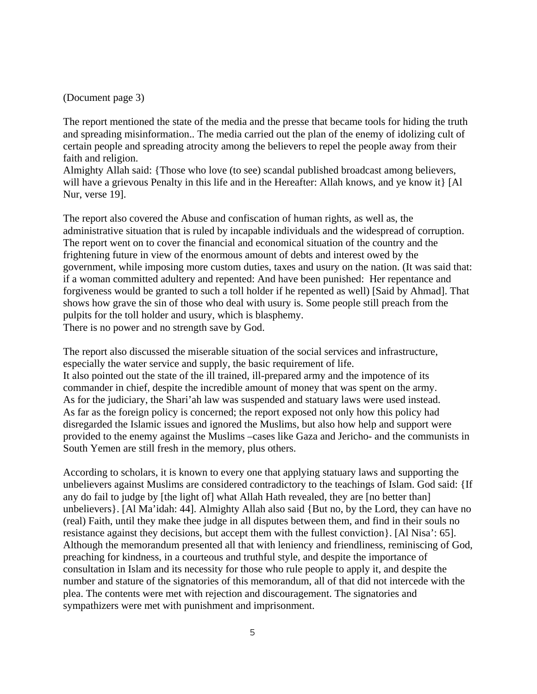(Document page 3)

The report mentioned the state of the media and the presse that became tools for hiding the truth and spreading misinformation.. The media carried out the plan of the enemy of idolizing cult of certain people and spreading atrocity among the believers to repel the people away from their faith and religion.

Almighty Allah said: {Those who love (to see) scandal published broadcast among believers, will have a grievous Penalty in this life and in the Hereafter: Allah knows, and ye know it} [Al Nur, verse 19].

The report also covered the Abuse and confiscation of human rights, as well as, the administrative situation that is ruled by incapable individuals and the widespread of corruption. The report went on to cover the financial and economical situation of the country and the frightening future in view of the enormous amount of debts and interest owed by the government, while imposing more custom duties, taxes and usury on the nation. (It was said that: if a woman committed adultery and repented: And have been punished: Her repentance and forgiveness would be granted to such a toll holder if he repented as well) [Said by Ahmad]. That shows how grave the sin of those who deal with usury is. Some people still preach from the pulpits for the toll holder and usury, which is blasphemy. There is no power and no strength save by God.

The report also discussed the miserable situation of the social services and infrastructure, especially the water service and supply, the basic requirement of life. It also pointed out the state of the ill trained, ill-prepared army and the impotence of its commander in chief, despite the incredible amount of money that was spent on the army. As for the judiciary, the Shari'ah law was suspended and statuary laws were used instead. As far as the foreign policy is concerned; the report exposed not only how this policy had disregarded the Islamic issues and ignored the Muslims, but also how help and support were provided to the enemy against the Muslims –cases like Gaza and Jericho- and the communists in South Yemen are still fresh in the memory, plus others.

According to scholars, it is known to every one that applying statuary laws and supporting the unbelievers against Muslims are considered contradictory to the teachings of Islam. God said: {If any do fail to judge by [the light of] what Allah Hath revealed, they are [no better than] unbelievers}. [Al Ma'idah: 44]. Almighty Allah also said {But no, by the Lord, they can have no (real) Faith, until they make thee judge in all disputes between them, and find in their souls no resistance against they decisions, but accept them with the fullest conviction}. [Al Nisa': 65]. Although the memorandum presented all that with leniency and friendliness, reminiscing of God, preaching for kindness, in a courteous and truthful style, and despite the importance of consultation in Islam and its necessity for those who rule people to apply it, and despite the number and stature of the signatories of this memorandum, all of that did not intercede with the plea. The contents were met with rejection and discouragement. The signatories and sympathizers were met with punishment and imprisonment.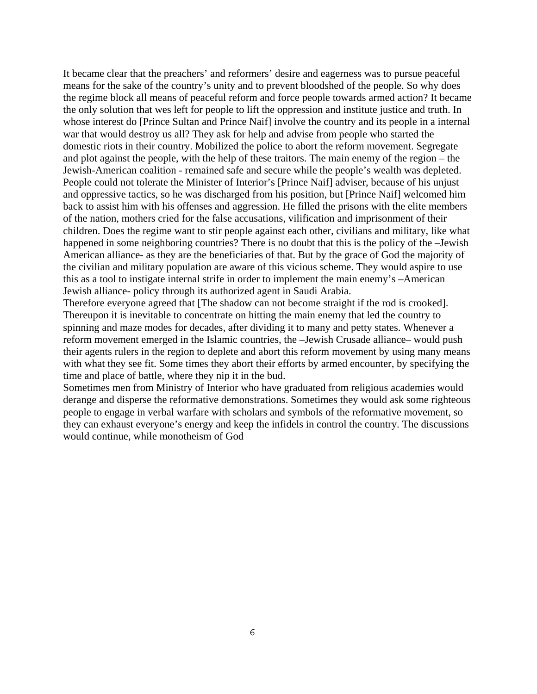It became clear that the preachers' and reformers' desire and eagerness was to pursue peaceful means for the sake of the country's unity and to prevent bloodshed of the people. So why does the regime block all means of peaceful reform and force people towards armed action? It became the only solution that wes left for people to lift the oppression and institute justice and truth. In whose interest do [Prince Sultan and Prince Naif] involve the country and its people in a internal war that would destroy us all? They ask for help and advise from people who started the domestic riots in their country. Mobilized the police to abort the reform movement. Segregate and plot against the people, with the help of these traitors. The main enemy of the region – the Jewish-American coalition - remained safe and secure while the people's wealth was depleted. People could not tolerate the Minister of Interior's [Prince Naif] adviser, because of his unjust and oppressive tactics, so he was discharged from his position, but [Prince Naif] welcomed him back to assist him with his offenses and aggression. He filled the prisons with the elite members of the nation, mothers cried for the false accusations, vilification and imprisonment of their children. Does the regime want to stir people against each other, civilians and military, like what happened in some neighboring countries? There is no doubt that this is the policy of the –Jewish American alliance- as they are the beneficiaries of that. But by the grace of God the majority of the civilian and military population are aware of this vicious scheme. They would aspire to use this as a tool to instigate internal strife in order to implement the main enemy's –American Jewish alliance- policy through its authorized agent in Saudi Arabia.

Therefore everyone agreed that [The shadow can not become straight if the rod is crooked]. Thereupon it is inevitable to concentrate on hitting the main enemy that led the country to spinning and maze modes for decades, after dividing it to many and petty states. Whenever a reform movement emerged in the Islamic countries, the –Jewish Crusade alliance– would push their agents rulers in the region to deplete and abort this reform movement by using many means with what they see fit. Some times they abort their efforts by armed encounter, by specifying the time and place of battle, where they nip it in the bud.

Sometimes men from Ministry of Interior who have graduated from religious academies would derange and disperse the reformative demonstrations. Sometimes they would ask some righteous people to engage in verbal warfare with scholars and symbols of the reformative movement, so they can exhaust everyone's energy and keep the infidels in control the country. The discussions would continue, while monotheism of God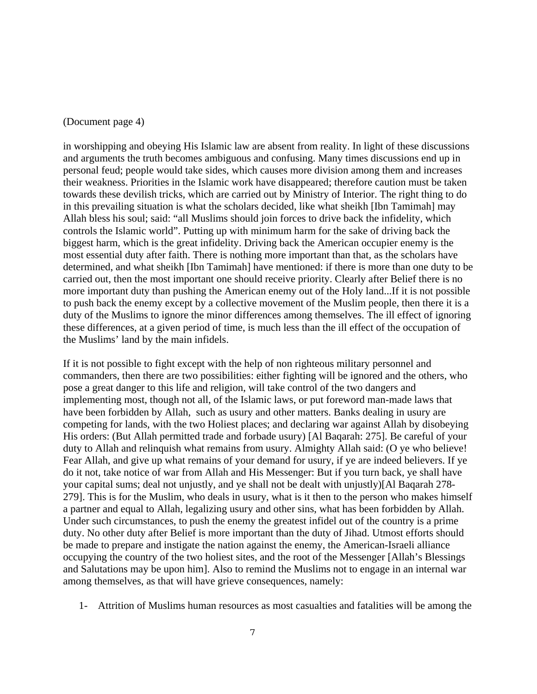## (Document page 4)

in worshipping and obeying His Islamic law are absent from reality. In light of these discussions and arguments the truth becomes ambiguous and confusing. Many times discussions end up in personal feud; people would take sides, which causes more division among them and increases their weakness. Priorities in the Islamic work have disappeared; therefore caution must be taken towards these devilish tricks, which are carried out by Ministry of Interior. The right thing to do in this prevailing situation is what the scholars decided, like what sheikh [Ibn Tamimah] may Allah bless his soul; said: "all Muslims should join forces to drive back the infidelity, which controls the Islamic world". Putting up with minimum harm for the sake of driving back the biggest harm, which is the great infidelity. Driving back the American occupier enemy is the most essential duty after faith. There is nothing more important than that, as the scholars have determined, and what sheikh [Ibn Tamimah] have mentioned: if there is more than one duty to be carried out, then the most important one should receive priority. Clearly after Belief there is no more important duty than pushing the American enemy out of the Holy land...If it is not possible to push back the enemy except by a collective movement of the Muslim people, then there it is a duty of the Muslims to ignore the minor differences among themselves. The ill effect of ignoring these differences, at a given period of time, is much less than the ill effect of the occupation of the Muslims' land by the main infidels.

If it is not possible to fight except with the help of non righteous military personnel and commanders, then there are two possibilities: either fighting will be ignored and the others, who pose a great danger to this life and religion, will take control of the two dangers and implementing most, though not all, of the Islamic laws, or put foreword man-made laws that have been forbidden by Allah, such as usury and other matters. Banks dealing in usury are competing for lands, with the two Holiest places; and declaring war against Allah by disobeying His orders: (But Allah permitted trade and forbade usury) [Al Baqarah: 275]. Be careful of your duty to Allah and relinquish what remains from usury. Almighty Allah said: (O ye who believe! Fear Allah, and give up what remains of your demand for usury, if ye are indeed believers. If ye do it not, take notice of war from Allah and His Messenger: But if you turn back, ye shall have your capital sums; deal not unjustly, and ye shall not be dealt with unjustly)[Al Baqarah 278- 279]. This is for the Muslim, who deals in usury, what is it then to the person who makes himself a partner and equal to Allah, legalizing usury and other sins, what has been forbidden by Allah. Under such circumstances, to push the enemy the greatest infidel out of the country is a prime duty. No other duty after Belief is more important than the duty of Jihad. Utmost efforts should be made to prepare and instigate the nation against the enemy, the American-Israeli alliance occupying the country of the two holiest sites, and the root of the Messenger [Allah's Blessings and Salutations may be upon him]. Also to remind the Muslims not to engage in an internal war among themselves, as that will have grieve consequences, namely:

1- Attrition of Muslims human resources as most casualties and fatalities will be among the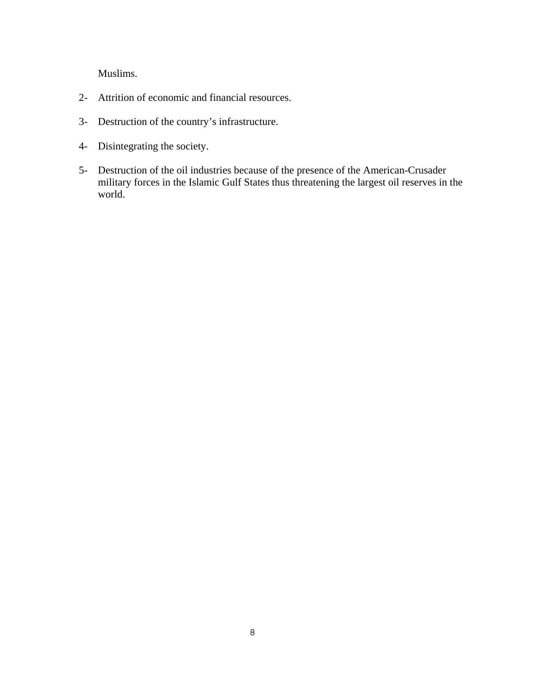Muslims.

- 2- Attrition of economic and financial resources.
- 3- Destruction of the country's infrastructure.
- 4- Disintegrating the society.
- 5- Destruction of the oil industries because of the presence of the American-Crusader military forces in the Islamic Gulf States thus threatening the largest oil reserves in the world.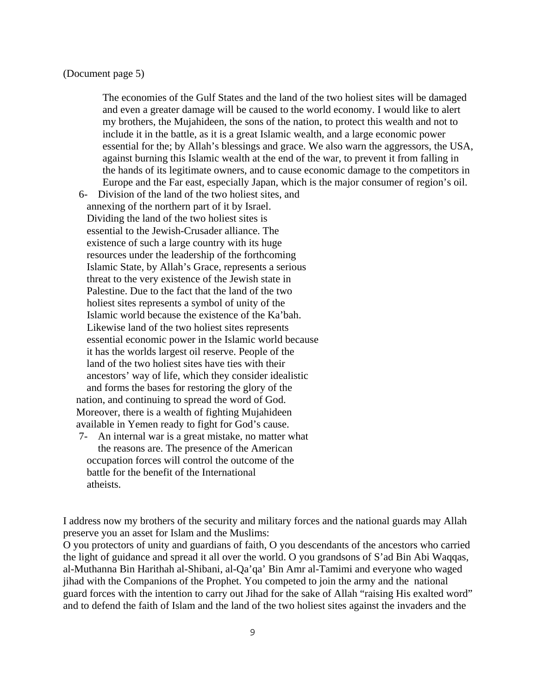The economies of the Gulf States and the land of the two holiest sites will be damaged and even a greater damage will be caused to the world economy. I would like to alert my brothers, the Mujahideen, the sons of the nation, to protect this wealth and not to include it in the battle, as it is a great Islamic wealth, and a large economic power essential for the; by Allah's blessings and grace. We also warn the aggressors, the USA, against burning this Islamic wealth at the end of the war, to prevent it from falling in the hands of its legitimate owners, and to cause economic damage to the competitors in Europe and the Far east, especially Japan, which is the major consumer of region's oil.

- 6- Division of the land of the two holiest sites, and annexing of the northern part of it by Israel. Dividing the land of the two holiest sites is essential to the Jewish-Crusader alliance. The existence of such a large country with its huge resources under the leadership of the forthcoming Islamic State, by Allah's Grace, represents a serious threat to the very existence of the Jewish state in Palestine. Due to the fact that the land of the two holiest sites represents a symbol of unity of the Islamic world because the existence of the Ka'bah. Likewise land of the two holiest sites represents essential economic power in the Islamic world because it has the worlds largest oil reserve. People of the land of the two holiest sites have ties with their ancestors' way of life, which they consider idealistic and forms the bases for restoring the glory of the nation, and continuing to spread the word of God. Moreover, there is a wealth of fighting Mujahideen available in Yemen ready to fight for God's cause. 7- An internal war is a great mistake, no matter what
	- the reasons are. The presence of the American occupation forces will control the outcome of the battle for the benefit of the International atheists.

I address now my brothers of the security and military forces and the national guards may Allah preserve you an asset for Islam and the Muslims:

O you protectors of unity and guardians of faith, O you descendants of the ancestors who carried the light of guidance and spread it all over the world. O you grandsons of S'ad Bin Abi Waqqas, al-Muthanna Bin Harithah al-Shibani, al-Qa'qa' Bin Amr al-Tamimi and everyone who waged jihad with the Companions of the Prophet. You competed to join the army and the national guard forces with the intention to carry out Jihad for the sake of Allah "raising His exalted word" and to defend the faith of Islam and the land of the two holiest sites against the invaders and the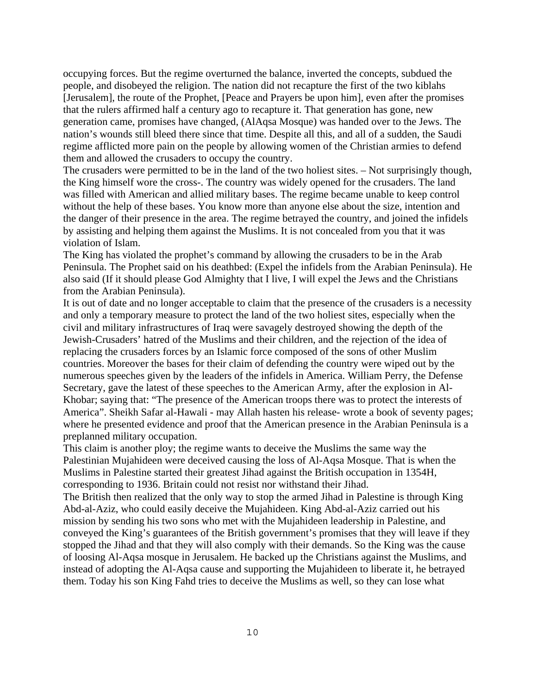occupying forces. But the regime overturned the balance, inverted the concepts, subdued the people, and disobeyed the religion. The nation did not recapture the first of the two kiblahs [Jerusalem], the route of the Prophet, [Peace and Prayers be upon him], even after the promises that the rulers affirmed half a century ago to recapture it. That generation has gone, new generation came, promises have changed, (AlAqsa Mosque) was handed over to the Jews. The nation's wounds still bleed there since that time. Despite all this, and all of a sudden, the Saudi regime afflicted more pain on the people by allowing women of the Christian armies to defend them and allowed the crusaders to occupy the country.

The crusaders were permitted to be in the land of the two holiest sites. – Not surprisingly though, the King himself wore the cross-. The country was widely opened for the crusaders. The land was filled with American and allied military bases. The regime became unable to keep control without the help of these bases. You know more than anyone else about the size, intention and the danger of their presence in the area. The regime betrayed the country, and joined the infidels by assisting and helping them against the Muslims. It is not concealed from you that it was violation of Islam.

The King has violated the prophet's command by allowing the crusaders to be in the Arab Peninsula. The Prophet said on his deathbed: (Expel the infidels from the Arabian Peninsula). He also said (If it should please God Almighty that I live, I will expel the Jews and the Christians from the Arabian Peninsula).

It is out of date and no longer acceptable to claim that the presence of the crusaders is a necessity and only a temporary measure to protect the land of the two holiest sites, especially when the civil and military infrastructures of Iraq were savagely destroyed showing the depth of the Jewish-Crusaders' hatred of the Muslims and their children, and the rejection of the idea of replacing the crusaders forces by an Islamic force composed of the sons of other Muslim countries. Moreover the bases for their claim of defending the country were wiped out by the numerous speeches given by the leaders of the infidels in America. William Perry, the Defense Secretary, gave the latest of these speeches to the American Army, after the explosion in Al-Khobar; saying that: "The presence of the American troops there was to protect the interests of America". Sheikh Safar al-Hawali - may Allah hasten his release- wrote a book of seventy pages; where he presented evidence and proof that the American presence in the Arabian Peninsula is a preplanned military occupation.

This claim is another ploy; the regime wants to deceive the Muslims the same way the Palestinian Mujahideen were deceived causing the loss of Al-Aqsa Mosque. That is when the Muslims in Palestine started their greatest Jihad against the British occupation in 1354H, corresponding to 1936. Britain could not resist nor withstand their Jihad.

The British then realized that the only way to stop the armed Jihad in Palestine is through King Abd-al-Aziz, who could easily deceive the Mujahideen. King Abd-al-Aziz carried out his mission by sending his two sons who met with the Mujahideen leadership in Palestine, and conveyed the King's guarantees of the British government's promises that they will leave if they stopped the Jihad and that they will also comply with their demands. So the King was the cause of loosing Al-Aqsa mosque in Jerusalem. He backed up the Christians against the Muslims, and instead of adopting the Al-Aqsa cause and supporting the Mujahideen to liberate it, he betrayed them. Today his son King Fahd tries to deceive the Muslims as well, so they can lose what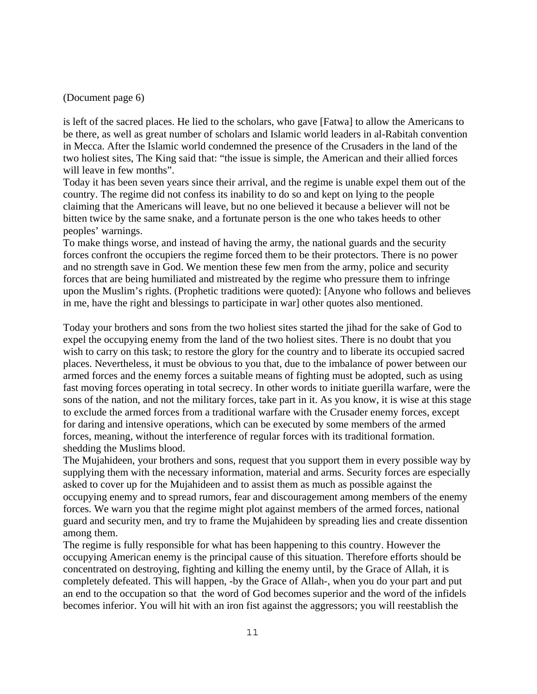## (Document page 6)

is left of the sacred places. He lied to the scholars, who gave [Fatwa] to allow the Americans to be there, as well as great number of scholars and Islamic world leaders in al-Rabitah convention in Mecca. After the Islamic world condemned the presence of the Crusaders in the land of the two holiest sites, The King said that: "the issue is simple, the American and their allied forces will leave in few months".

Today it has been seven years since their arrival, and the regime is unable expel them out of the country. The regime did not confess its inability to do so and kept on lying to the people claiming that the Americans will leave, but no one believed it because a believer will not be bitten twice by the same snake, and a fortunate person is the one who takes heeds to other peoples' warnings.

To make things worse, and instead of having the army, the national guards and the security forces confront the occupiers the regime forced them to be their protectors. There is no power and no strength save in God. We mention these few men from the army, police and security forces that are being humiliated and mistreated by the regime who pressure them to infringe upon the Muslim's rights. (Prophetic traditions were quoted): [Anyone who follows and believes in me, have the right and blessings to participate in war] other quotes also mentioned.

Today your brothers and sons from the two holiest sites started the jihad for the sake of God to expel the occupying enemy from the land of the two holiest sites. There is no doubt that you wish to carry on this task; to restore the glory for the country and to liberate its occupied sacred places. Nevertheless, it must be obvious to you that, due to the imbalance of power between our armed forces and the enemy forces a suitable means of fighting must be adopted, such as using fast moving forces operating in total secrecy. In other words to initiate guerilla warfare, were the sons of the nation, and not the military forces, take part in it. As you know, it is wise at this stage to exclude the armed forces from a traditional warfare with the Crusader enemy forces, except for daring and intensive operations, which can be executed by some members of the armed forces, meaning, without the interference of regular forces with its traditional formation. shedding the Muslims blood.

The Mujahideen, your brothers and sons, request that you support them in every possible way by supplying them with the necessary information, material and arms. Security forces are especially asked to cover up for the Mujahideen and to assist them as much as possible against the occupying enemy and to spread rumors, fear and discouragement among members of the enemy forces. We warn you that the regime might plot against members of the armed forces, national guard and security men, and try to frame the Mujahideen by spreading lies and create dissention among them.

The regime is fully responsible for what has been happening to this country. However the occupying American enemy is the principal cause of this situation. Therefore efforts should be concentrated on destroying, fighting and killing the enemy until, by the Grace of Allah, it is completely defeated. This will happen, -by the Grace of Allah-, when you do your part and put an end to the occupation so that the word of God becomes superior and the word of the infidels becomes inferior. You will hit with an iron fist against the aggressors; you will reestablish the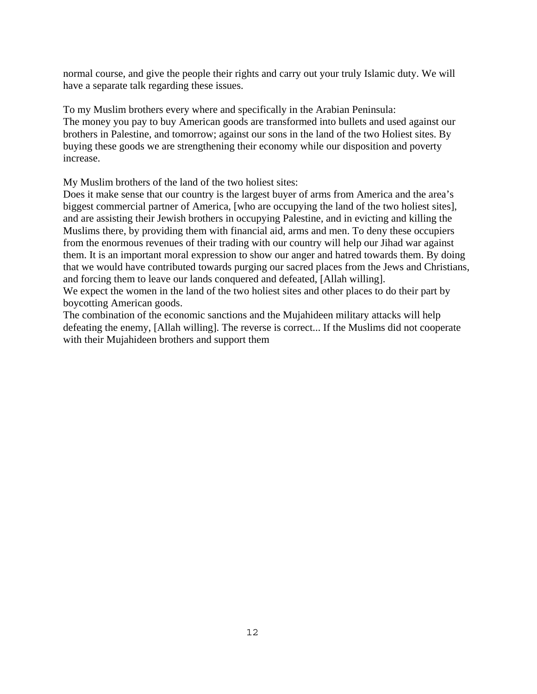normal course, and give the people their rights and carry out your truly Islamic duty. We will have a separate talk regarding these issues.

To my Muslim brothers every where and specifically in the Arabian Peninsula: The money you pay to buy American goods are transformed into bullets and used against our brothers in Palestine, and tomorrow; against our sons in the land of the two Holiest sites. By buying these goods we are strengthening their economy while our disposition and poverty increase.

My Muslim brothers of the land of the two holiest sites:

Does it make sense that our country is the largest buyer of arms from America and the area's biggest commercial partner of America, [who are occupying the land of the two holiest sites], and are assisting their Jewish brothers in occupying Palestine, and in evicting and killing the Muslims there, by providing them with financial aid, arms and men. To deny these occupiers from the enormous revenues of their trading with our country will help our Jihad war against them. It is an important moral expression to show our anger and hatred towards them. By doing that we would have contributed towards purging our sacred places from the Jews and Christians, and forcing them to leave our lands conquered and defeated, [Allah willing].

We expect the women in the land of the two holiest sites and other places to do their part by boycotting American goods.

The combination of the economic sanctions and the Mujahideen military attacks will help defeating the enemy, [Allah willing]. The reverse is correct... If the Muslims did not cooperate with their Mujahideen brothers and support them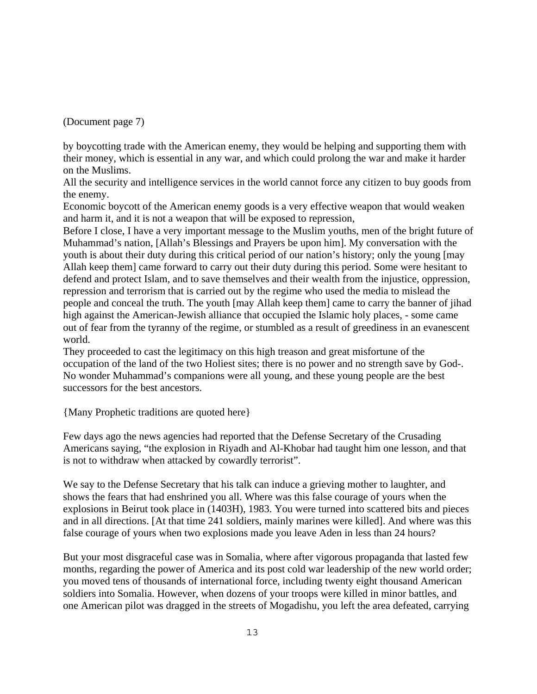(Document page 7)

by boycotting trade with the American enemy, they would be helping and supporting them with their money, which is essential in any war, and which could prolong the war and make it harder on the Muslims.

All the security and intelligence services in the world cannot force any citizen to buy goods from the enemy.

Economic boycott of the American enemy goods is a very effective weapon that would weaken and harm it, and it is not a weapon that will be exposed to repression,

Before I close, I have a very important message to the Muslim youths, men of the bright future of Muhammad's nation, [Allah's Blessings and Prayers be upon him]. My conversation with the youth is about their duty during this critical period of our nation's history; only the young [may Allah keep them] came forward to carry out their duty during this period. Some were hesitant to defend and protect Islam, and to save themselves and their wealth from the injustice, oppression, repression and terrorism that is carried out by the regime who used the media to mislead the people and conceal the truth. The youth [may Allah keep them] came to carry the banner of jihad high against the American-Jewish alliance that occupied the Islamic holy places, - some came out of fear from the tyranny of the regime, or stumbled as a result of greediness in an evanescent world.

They proceeded to cast the legitimacy on this high treason and great misfortune of the occupation of the land of the two Holiest sites; there is no power and no strength save by God-. No wonder Muhammad's companions were all young, and these young people are the best successors for the best ancestors.

{Many Prophetic traditions are quoted here}

Few days ago the news agencies had reported that the Defense Secretary of the Crusading Americans saying, "the explosion in Riyadh and Al-Khobar had taught him one lesson, and that is not to withdraw when attacked by cowardly terrorist".

We say to the Defense Secretary that his talk can induce a grieving mother to laughter, and shows the fears that had enshrined you all. Where was this false courage of yours when the explosions in Beirut took place in (1403H), 1983. You were turned into scattered bits and pieces and in all directions. [At that time 241 soldiers, mainly marines were killed]. And where was this false courage of yours when two explosions made you leave Aden in less than 24 hours?

But your most disgraceful case was in Somalia, where after vigorous propaganda that lasted few months, regarding the power of America and its post cold war leadership of the new world order; you moved tens of thousands of international force, including twenty eight thousand American soldiers into Somalia. However, when dozens of your troops were killed in minor battles, and one American pilot was dragged in the streets of Mogadishu, you left the area defeated, carrying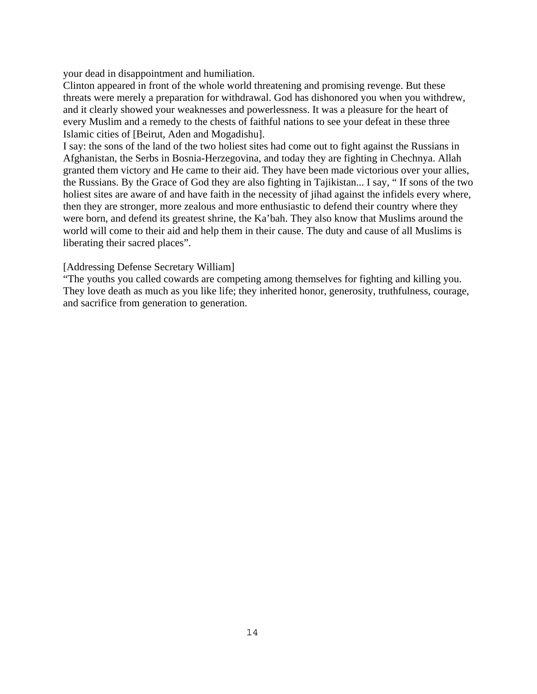your dead in disappointment and humiliation.

Clinton appeared in front of the whole world threatening and promising revenge. But these threats were merely a preparation for withdrawal. God has dishonored you when you withdrew, and it clearly showed your weaknesses and powerlessness. It was a pleasure for the heart of every Muslim and a remedy to the chests of faithful nations to see your defeat in these three Islamic cities of [Beirut, Aden and Mogadishu].

I say: the sons of the land of the two holiest sites had come out to fight against the Russians in Afghanistan, the Serbs in Bosnia-Herzegovina, and today they are fighting in Chechnya. Allah granted them victory and He came to their aid. They have been made victorious over your allies, the Russians. By the Grace of God they are also fighting in Tajikistan... I say, " If sons of the two holiest sites are aware of and have faith in the necessity of jihad against the infidels every where, then they are stronger, more zealous and more enthusiastic to defend their country where they were born, and defend its greatest shrine, the Ka'bah. They also know that Muslims around the world will come to their aid and help them in their cause. The duty and cause of all Muslims is liberating their sacred places".

## [Addressing Defense Secretary William]

"The youths you called cowards are competing among themselves for fighting and killing you. They love death as much as you like life; they inherited honor, generosity, truthfulness, courage, and sacrifice from generation to generation.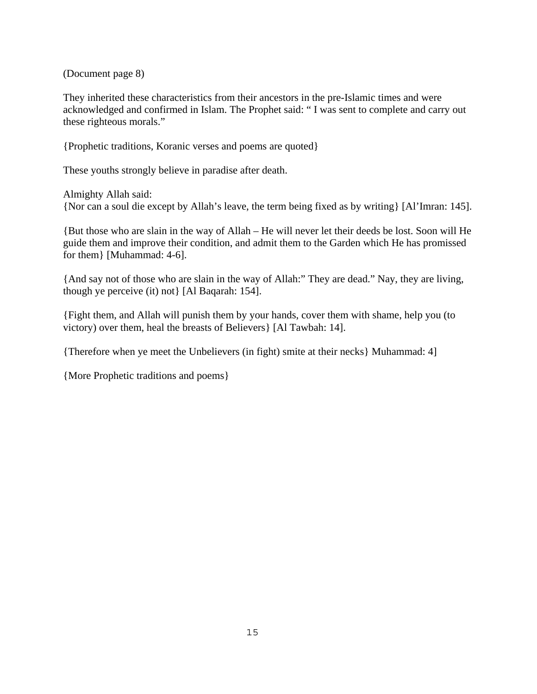(Document page 8)

They inherited these characteristics from their ancestors in the pre-Islamic times and were acknowledged and confirmed in Islam. The Prophet said: " I was sent to complete and carry out these righteous morals."

{Prophetic traditions, Koranic verses and poems are quoted}

These youths strongly believe in paradise after death.

Almighty Allah said: {Nor can a soul die except by Allah's leave, the term being fixed as by writing} [Al'Imran: 145].

{But those who are slain in the way of Allah – He will never let their deeds be lost. Soon will He guide them and improve their condition, and admit them to the Garden which He has promissed for them} [Muhammad: 4-6].

{And say not of those who are slain in the way of Allah:" They are dead." Nay, they are living, though ye perceive (it) not} [Al Baqarah: 154].

{Fight them, and Allah will punish them by your hands, cover them with shame, help you (to victory) over them, heal the breasts of Believers} [Al Tawbah: 14].

{Therefore when ye meet the Unbelievers (in fight) smite at their necks} Muhammad: 4]

{More Prophetic traditions and poems}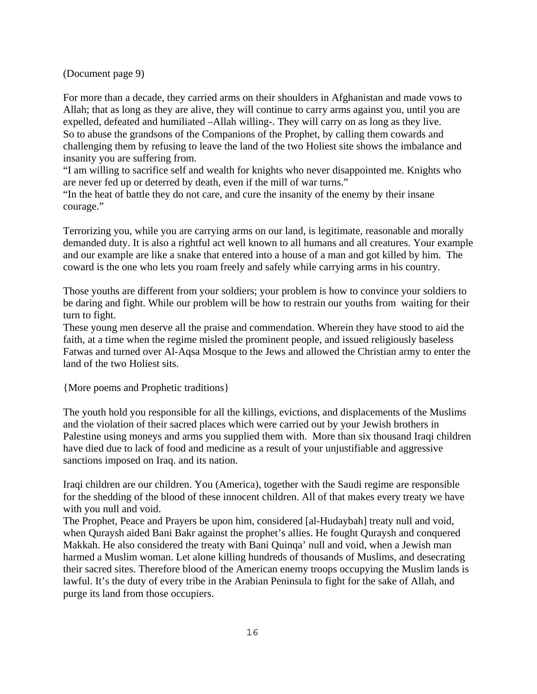(Document page 9)

For more than a decade, they carried arms on their shoulders in Afghanistan and made vows to Allah; that as long as they are alive, they will continue to carry arms against you, until you are expelled, defeated and humiliated –Allah willing-. They will carry on as long as they live. So to abuse the grandsons of the Companions of the Prophet, by calling them cowards and challenging them by refusing to leave the land of the two Holiest site shows the imbalance and insanity you are suffering from.

"I am willing to sacrifice self and wealth for knights who never disappointed me. Knights who are never fed up or deterred by death, even if the mill of war turns."

"In the heat of battle they do not care, and cure the insanity of the enemy by their insane courage."

Terrorizing you, while you are carrying arms on our land, is legitimate, reasonable and morally demanded duty. It is also a rightful act well known to all humans and all creatures. Your example and our example are like a snake that entered into a house of a man and got killed by him. The coward is the one who lets you roam freely and safely while carrying arms in his country.

Those youths are different from your soldiers; your problem is how to convince your soldiers to be daring and fight. While our problem will be how to restrain our youths from waiting for their turn to fight.

These young men deserve all the praise and commendation. Wherein they have stood to aid the faith, at a time when the regime misled the prominent people, and issued religiously baseless Fatwas and turned over Al-Aqsa Mosque to the Jews and allowed the Christian army to enter the land of the two Holiest sits.

{More poems and Prophetic traditions}

The youth hold you responsible for all the killings, evictions, and displacements of the Muslims and the violation of their sacred places which were carried out by your Jewish brothers in Palestine using moneys and arms you supplied them with. More than six thousand Iraqi children have died due to lack of food and medicine as a result of your unjustifiable and aggressive sanctions imposed on Iraq. and its nation.

Iraqi children are our children. You (America), together with the Saudi regime are responsible for the shedding of the blood of these innocent children. All of that makes every treaty we have with you null and void.

The Prophet, Peace and Prayers be upon him, considered [al-Hudaybah] treaty null and void, when Quraysh aided Bani Bakr against the prophet's allies. He fought Quraysh and conquered Makkah. He also considered the treaty with Bani Quinqa' null and void, when a Jewish man harmed a Muslim woman. Let alone killing hundreds of thousands of Muslims, and desecrating their sacred sites. Therefore blood of the American enemy troops occupying the Muslim lands is lawful. It's the duty of every tribe in the Arabian Peninsula to fight for the sake of Allah, and purge its land from those occupiers.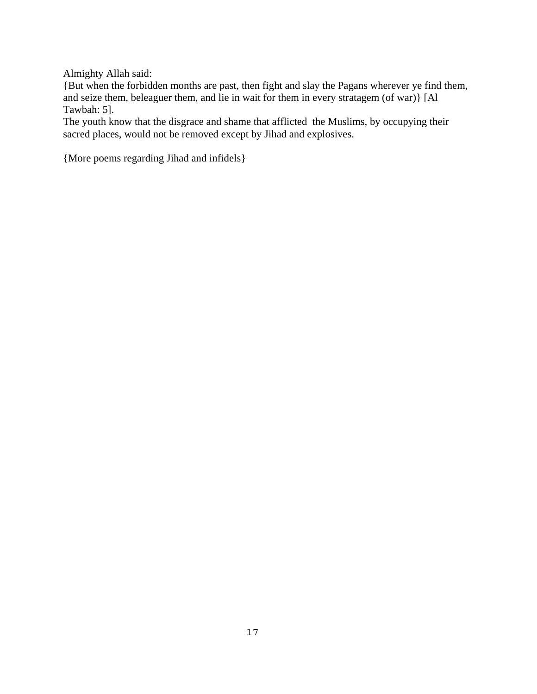Almighty Allah said:

{But when the forbidden months are past, then fight and slay the Pagans wherever ye find them, and seize them, beleaguer them, and lie in wait for them in every stratagem (of war)} [Al Tawbah: 5].

The youth know that the disgrace and shame that afflicted the Muslims, by occupying their sacred places, would not be removed except by Jihad and explosives.

{More poems regarding Jihad and infidels}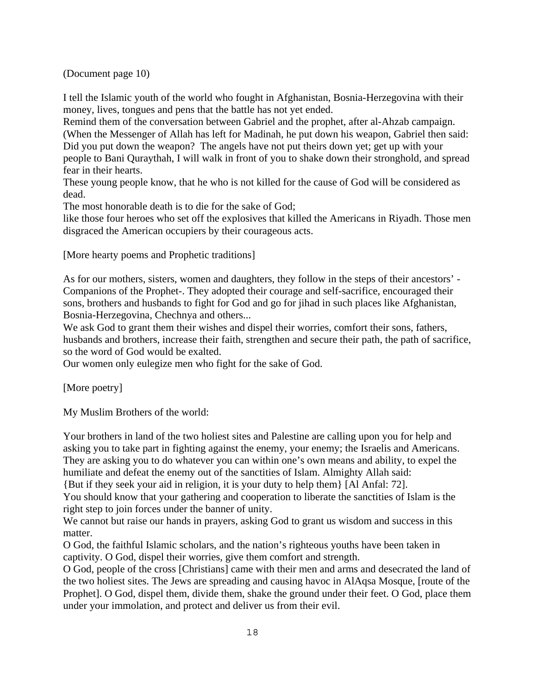(Document page 10)

I tell the Islamic youth of the world who fought in Afghanistan, Bosnia-Herzegovina with their money, lives, tongues and pens that the battle has not yet ended.

Remind them of the conversation between Gabriel and the prophet, after al-Ahzab campaign. (When the Messenger of Allah has left for Madinah, he put down his weapon, Gabriel then said: Did you put down the weapon? The angels have not put theirs down yet; get up with your people to Bani Quraythah, I will walk in front of you to shake down their stronghold, and spread fear in their hearts.

These young people know, that he who is not killed for the cause of God will be considered as dead.

The most honorable death is to die for the sake of God;

like those four heroes who set off the explosives that killed the Americans in Riyadh. Those men disgraced the American occupiers by their courageous acts.

[More hearty poems and Prophetic traditions]

As for our mothers, sisters, women and daughters, they follow in the steps of their ancestors' - Companions of the Prophet-. They adopted their courage and self-sacrifice, encouraged their sons, brothers and husbands to fight for God and go for jihad in such places like Afghanistan, Bosnia-Herzegovina, Chechnya and others...

We ask God to grant them their wishes and dispel their worries, comfort their sons, fathers, husbands and brothers, increase their faith, strengthen and secure their path, the path of sacrifice, so the word of God would be exalted.

Our women only eulegize men who fight for the sake of God.

[More poetry]

My Muslim Brothers of the world:

Your brothers in land of the two holiest sites and Palestine are calling upon you for help and asking you to take part in fighting against the enemy, your enemy; the Israelis and Americans. They are asking you to do whatever you can within one's own means and ability, to expel the humiliate and defeat the enemy out of the sanctities of Islam. Almighty Allah said:

{But if they seek your aid in religion, it is your duty to help them} [Al Anfal: 72].

You should know that your gathering and cooperation to liberate the sanctities of Islam is the right step to join forces under the banner of unity.

We cannot but raise our hands in prayers, asking God to grant us wisdom and success in this matter.

O God, the faithful Islamic scholars, and the nation's righteous youths have been taken in captivity. O God, dispel their worries, give them comfort and strength.

O God, people of the cross [Christians] came with their men and arms and desecrated the land of the two holiest sites. The Jews are spreading and causing havoc in AlAqsa Mosque, [route of the Prophet]. O God, dispel them, divide them, shake the ground under their feet. O God, place them under your immolation, and protect and deliver us from their evil.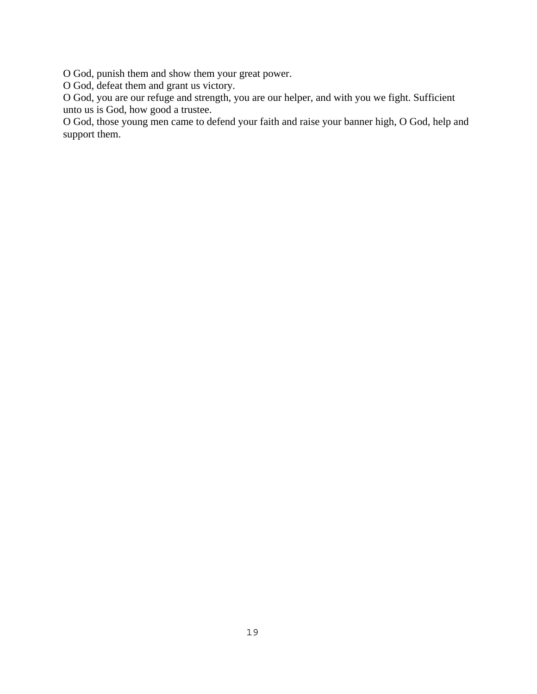O God, punish them and show them your great power.

O God, defeat them and grant us victory.

O God, you are our refuge and strength, you are our helper, and with you we fight. Sufficient unto us is God, how good a trustee.

O God, those young men came to defend your faith and raise your banner high, O God, help and support them.